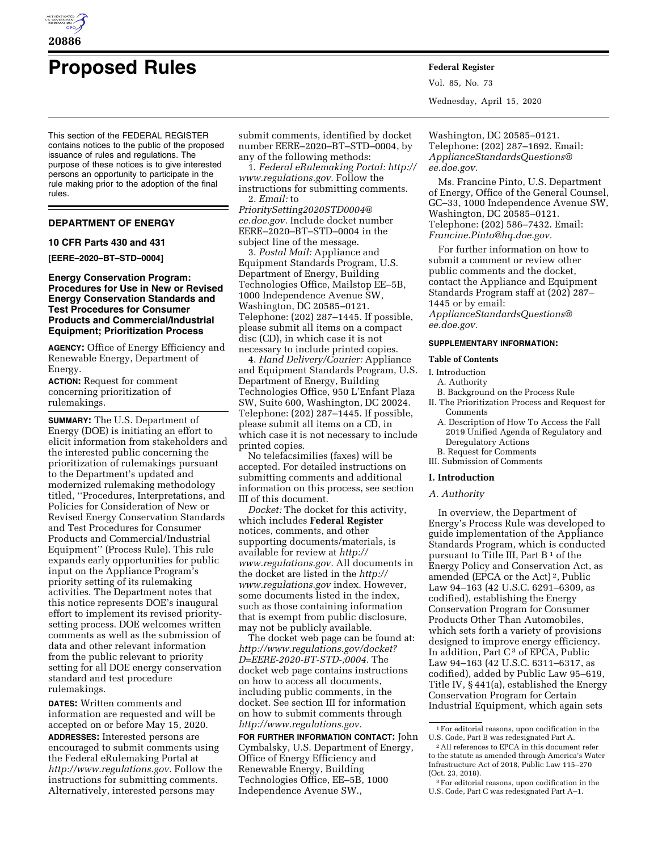

# **Proposed Rules Federal Register**

This section of the FEDERAL REGISTER contains notices to the public of the proposed issuance of rules and regulations. The purpose of these notices is to give interested persons an opportunity to participate in the rule making prior to the adoption of the final rules.

# **DEPARTMENT OF ENERGY**

## **10 CFR Parts 430 and 431**

**[EERE–2020–BT–STD–0004]** 

## **Energy Conservation Program: Procedures for Use in New or Revised Energy Conservation Standards and Test Procedures for Consumer Products and Commercial/Industrial Equipment; Prioritization Process**

**AGENCY:** Office of Energy Efficiency and Renewable Energy, Department of Energy.

**ACTION:** Request for comment concerning prioritization of rulemakings.

**SUMMARY:** The U.S. Department of Energy (DOE) is initiating an effort to elicit information from stakeholders and the interested public concerning the prioritization of rulemakings pursuant to the Department's updated and modernized rulemaking methodology titled, ''Procedures, Interpretations, and Policies for Consideration of New or Revised Energy Conservation Standards and Test Procedures for Consumer Products and Commercial/Industrial Equipment'' (Process Rule). This rule expands early opportunities for public input on the Appliance Program's priority setting of its rulemaking activities. The Department notes that this notice represents DOE's inaugural effort to implement its revised prioritysetting process. DOE welcomes written comments as well as the submission of data and other relevant information from the public relevant to priority setting for all DOE energy conservation standard and test procedure rulemakings.

**DATES:** Written comments and information are requested and will be accepted on or before May 15, 2020. **ADDRESSES:** Interested persons are encouraged to submit comments using the Federal eRulemaking Portal at *[http://www.regulations.gov.](http://www.regulations.gov)* Follow the instructions for submitting comments. Alternatively, interested persons may

submit comments, identified by docket number EERE–2020–BT–STD–0004, by any of the following methods:

1. *Federal eRulemaking Portal: [http://](http://www.regulations.gov)  [www.regulations.gov.](http://www.regulations.gov)* Follow the instructions for submitting comments. 2. *Email:* to

*[PrioritySetting2020STD0004@](mailto:PrioritySetting2020STD0004@ee.doe.gov) [ee.doe.gov.](mailto:PrioritySetting2020STD0004@ee.doe.gov)* Include docket number EERE–2020–BT–STD–0004 in the subject line of the message.

3. *Postal Mail:* Appliance and Equipment Standards Program, U.S. Department of Energy, Building Technologies Office, Mailstop EE–5B, 1000 Independence Avenue SW, Washington, DC 20585–0121. Telephone: (202) 287–1445. If possible, please submit all items on a compact disc (CD), in which case it is not necessary to include printed copies.

4. *Hand Delivery/Courier:* Appliance and Equipment Standards Program, U.S. Department of Energy, Building Technologies Office, 950 L'Enfant Plaza SW, Suite 600, Washington, DC 20024. Telephone: (202) 287–1445. If possible, please submit all items on a CD, in which case it is not necessary to include printed copies.

No telefacsimilies (faxes) will be accepted. For detailed instructions on submitting comments and additional information on this process, see section III of this document.

*Docket:* The docket for this activity, which includes **Federal Register**  notices, comments, and other supporting documents/materials, is available for review at *[http://](http://www.regulations.gov) [www.regulations.gov.](http://www.regulations.gov)* All documents in the docket are listed in the *[http://](http://www.regulations.gov) [www.regulations.gov](http://www.regulations.gov)* index. However, some documents listed in the index, such as those containing information that is exempt from public disclosure, may not be publicly available.

The docket web page can be found at: *[http://www.regulations.gov/docket?](http://www.regulations.gov/docket?D=EERE-2020-BT-STD-;0004) [D=EERE-2020-BT-STD-;0004.](http://www.regulations.gov/docket?D=EERE-2020-BT-STD-;0004)* The docket web page contains instructions on how to access all documents, including public comments, in the docket. See section III for information on how to submit comments through *[http://www.regulations.gov.](http://www.regulations.gov)* 

**FOR FURTHER INFORMATION CONTACT:** John Cymbalsky, U.S. Department of Energy, Office of Energy Efficiency and Renewable Energy, Building Technologies Office, EE–5B, 1000 Independence Avenue SW.,

Vol. 85, No. 73 Wednesday, April 15, 2020

Washington, DC 20585–0121. Telephone: (202) 287–1692. Email: *[ApplianceStandardsQuestions@](mailto:ApplianceStandardsQuestions@ee.doe.gov) [ee.doe.gov.](mailto:ApplianceStandardsQuestions@ee.doe.gov)* 

Ms. Francine Pinto, U.S. Department of Energy, Office of the General Counsel, GC–33, 1000 Independence Avenue SW, Washington, DC 20585–0121. Telephone: (202) 586–7432. Email: *[Francine.Pinto@hq.doe.gov.](mailto:Francine.Pinto@hq.doe.gov)* 

For further information on how to submit a comment or review other public comments and the docket, contact the Appliance and Equipment Standards Program staff at (202) 287– 1445 or by email: *[ApplianceStandardsQuestions@](mailto:ApplianceStandardsQuestions@ee.doe.gov)*

#### **SUPPLEMENTARY INFORMATION:**

#### **Table of Contents**

## I. Introduction

*[ee.doe.gov.](mailto:ApplianceStandardsQuestions@ee.doe.gov)* 

- A. Authority
- B. Background on the Process Rule
- II. The Prioritization Process and Request for Comments
	- A. Description of How To Access the Fall 2019 Unified Agenda of Regulatory and Deregulatory Actions
- B. Request for Comments
- III. Submission of Comments

# **I. Introduction**

## *A. Authority*

In overview, the Department of Energy's Process Rule was developed to guide implementation of the Appliance Standards Program, which is conducted pursuant to Title III, Part  $B^1$  of the Energy Policy and Conservation Act, as amended (EPCA or the Act) 2, Public Law 94–163 (42 U.S.C. 6291–6309, as codified), establishing the Energy Conservation Program for Consumer Products Other Than Automobiles, which sets forth a variety of provisions designed to improve energy efficiency. In addition, Part  $C<sup>3</sup>$  of EPCA, Public Law 94–163 (42 U.S.C. 6311–6317, as codified), added by Public Law 95–619, Title IV, § 441(a), established the Energy Conservation Program for Certain Industrial Equipment, which again sets

<sup>1</sup>For editorial reasons, upon codification in the U.S. Code, Part B was redesignated Part A.

<sup>2</sup>All references to EPCA in this document refer to the statute as amended through America's Water Infrastructure Act of 2018, Public Law 115–270 (Oct. 23, 2018).

<sup>3</sup>For editorial reasons, upon codification in the U.S. Code, Part C was redesignated Part A–1.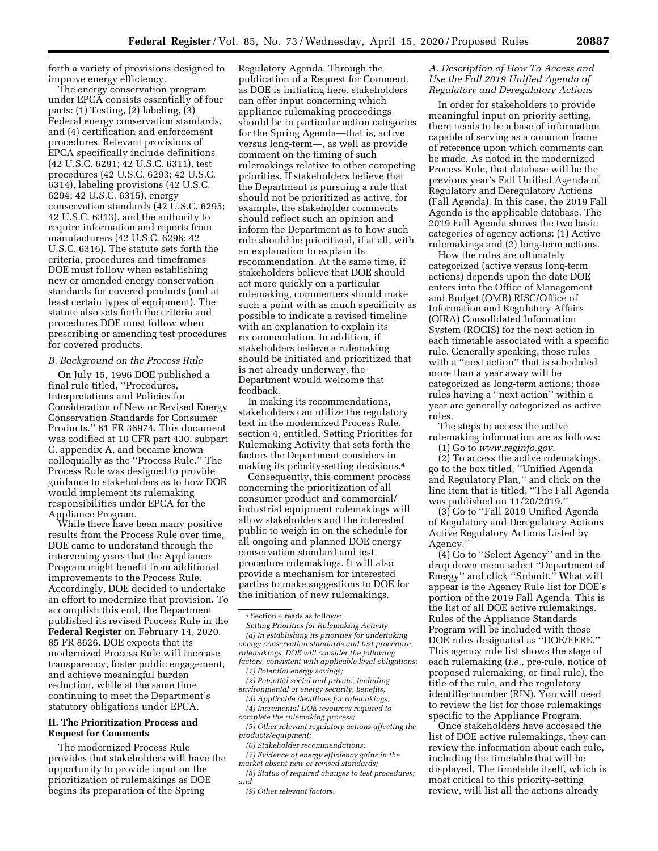forth a variety of provisions designed to improve energy efficiency.

The energy conservation program under EPCA consists essentially of four parts: (1) Testing, (2) labeling, (3) Federal energy conservation standards, and (4) certification and enforcement procedures. Relevant provisions of EPCA specifically include definitions (42 U.S.C. 6291; 42 U.S.C. 6311), test procedures (42 U.S.C. 6293; 42 U.S.C. 6314), labeling provisions (42 U.S.C. 6294; 42 U.S.C. 6315), energy conservation standards (42 U.S.C. 6295; 42 U.S.C. 6313), and the authority to require information and reports from manufacturers (42 U.S.C. 6296; 42 U.S.C. 6316). The statute sets forth the criteria, procedures and timeframes DOE must follow when establishing new or amended energy conservation standards for covered products (and at least certain types of equipment). The statute also sets forth the criteria and procedures DOE must follow when prescribing or amending test procedures for covered products.

## *B. Background on the Process Rule*

On July 15, 1996 DOE published a final rule titled, ''Procedures, Interpretations and Policies for Consideration of New or Revised Energy Conservation Standards for Consumer Products.'' 61 FR 36974. This document was codified at 10 CFR part 430, subpart C, appendix A, and became known colloquially as the ''Process Rule.'' The Process Rule was designed to provide guidance to stakeholders as to how DOE would implement its rulemaking responsibilities under EPCA for the Appliance Program.

While there have been many positive results from the Process Rule over time, DOE came to understand through the intervening years that the Appliance Program might benefit from additional improvements to the Process Rule. Accordingly, DOE decided to undertake an effort to modernize that provision. To accomplish this end, the Department published its revised Process Rule in the **Federal Register** on February 14, 2020. 85 FR 8626. DOE expects that its modernized Process Rule will increase transparency, foster public engagement, and achieve meaningful burden reduction, while at the same time continuing to meet the Department's statutory obligations under EPCA.

## **II. The Prioritization Process and Request for Comments**

The modernized Process Rule provides that stakeholders will have the opportunity to provide input on the prioritization of rulemakings as DOE begins its preparation of the Spring

Regulatory Agenda. Through the publication of a Request for Comment, as DOE is initiating here, stakeholders can offer input concerning which appliance rulemaking proceedings should be in particular action categories for the Spring Agenda—that is, active versus long-term—, as well as provide comment on the timing of such rulemakings relative to other competing priorities. If stakeholders believe that the Department is pursuing a rule that should not be prioritized as active, for example, the stakeholder comments should reflect such an opinion and inform the Department as to how such rule should be prioritized, if at all, with an explanation to explain its recommendation. At the same time, if stakeholders believe that DOE should act more quickly on a particular rulemaking, commenters should make such a point with as much specificity as possible to indicate a revised timeline with an explanation to explain its recommendation. In addition, if stakeholders believe a rulemaking should be initiated and prioritized that is not already underway, the Department would welcome that feedback.

In making its recommendations, stakeholders can utilize the regulatory text in the modernized Process Rule, section 4, entitled, Setting Priorities for Rulemaking Activity that sets forth the factors the Department considers in making its priority-setting decisions.4

Consequently, this comment process concerning the prioritization of all consumer product and commercial/ industrial equipment rulemakings will allow stakeholders and the interested public to weigh in on the schedule for all ongoing and planned DOE energy conservation standard and test procedure rulemakings. It will also provide a mechanism for interested parties to make suggestions to DOE for the initiation of new rulemakings.

*Setting Priorities for Rulemaking Activity (a) In establishing its priorities for undertaking energy conservation standards and test procedure rulemakings, DOE will consider the following factors, consistent with applicable legal obligations:* 

- *(1) Potential energy savings; (2) Potential social and private, including environmental or energy security, benefits;*
- *(3) Applicable deadlines for rulemakings;*
- *(4) Incremental DOE resources required to complete the rulemaking process;*
- *(5) Other relevant regulatory actions affecting the products/equipment;*

*(6) Stakeholder recommendations;* 

*(7) Evidence of energy efficiency gains in the market absent new or revised standards;* 

*(8) Status of required changes to test procedures; and* 

# *A. Description of How To Access and Use the Fall 2019 Unified Agenda of Regulatory and Deregulatory Actions*

In order for stakeholders to provide meaningful input on priority setting, there needs to be a base of information capable of serving as a common frame of reference upon which comments can be made. As noted in the modernized Process Rule, that database will be the previous year's Fall Unified Agenda of Regulatory and Deregulatory Actions (Fall Agenda). In this case, the 2019 Fall Agenda is the applicable database. The 2019 Fall Agenda shows the two basic categories of agency actions: (1) Active rulemakings and (2) long-term actions.

How the rules are ultimately categorized (active versus long-term actions) depends upon the date DOE enters into the Office of Management and Budget (OMB) RISC/Office of Information and Regulatory Affairs (OIRA) Consolidated Information System (ROCIS) for the next action in each timetable associated with a specific rule. Generally speaking, those rules with a ''next action'' that is scheduled more than a year away will be categorized as long-term actions; those rules having a ''next action'' within a year are generally categorized as active rules.

The steps to access the active rulemaking information are as follows:

(1) Go to *[www.reginfo.gov.](http://www.reginfo.gov)* 

(2) To access the active rulemakings, go to the box titled, ''Unified Agenda and Regulatory Plan,'' and click on the line item that is titled, ''The Fall Agenda was published on 11/20/2019.''

(3) Go to ''Fall 2019 Unified Agenda of Regulatory and Deregulatory Actions Active Regulatory Actions Listed by Agency.''

(4) Go to ''Select Agency'' and in the drop down menu select ''Department of Energy'' and click ''Submit.'' What will appear is the Agency Rule list for DOE's portion of the 2019 Fall Agenda. This is the list of all DOE active rulemakings. Rules of the Appliance Standards Program will be included with those DOE rules designated as ''DOE/EERE.'' This agency rule list shows the stage of each rulemaking (*i.e.,* pre-rule, notice of proposed rulemaking, or final rule), the title of the rule, and the regulatory identifier number (RIN). You will need to review the list for those rulemakings specific to the Appliance Program.

Once stakeholders have accessed the list of DOE active rulemakings, they can review the information about each rule, including the timetable that will be displayed. The timetable itself, which is most critical to this priority-setting review, will list all the actions already

<sup>4</sup>Section 4 reads as follows:

*<sup>(9)</sup> Other relevant factors.*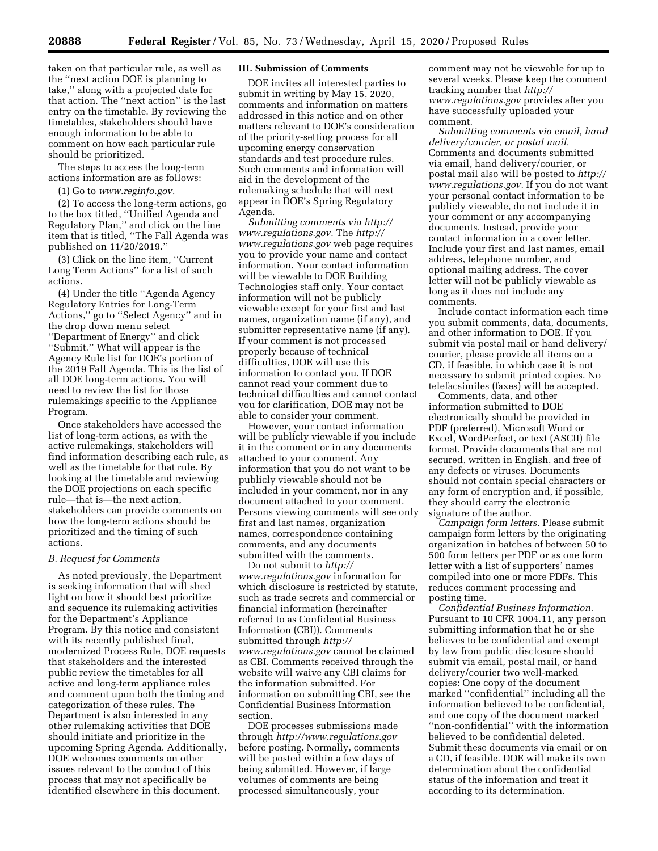taken on that particular rule, as well as the ''next action DOE is planning to take,'' along with a projected date for that action. The ''next action'' is the last entry on the timetable. By reviewing the timetables, stakeholders should have enough information to be able to comment on how each particular rule should be prioritized.

The steps to access the long-term actions information are as follows:

# (1) Go to *[www.reginfo.gov.](http://www.reginfo.gov)*

(2) To access the long-term actions, go to the box titled, ''Unified Agenda and Regulatory Plan,'' and click on the line item that is titled, ''The Fall Agenda was published on 11/20/2019.''

(3) Click on the line item, ''Current Long Term Actions'' for a list of such actions.

(4) Under the title ''Agenda Agency Regulatory Entries for Long-Term Actions,'' go to ''Select Agency'' and in the drop down menu select ''Department of Energy'' and click ''Submit.'' What will appear is the Agency Rule list for DOE's portion of the 2019 Fall Agenda. This is the list of all DOE long-term actions. You will need to review the list for those rulemakings specific to the Appliance Program.

Once stakeholders have accessed the list of long-term actions, as with the active rulemakings, stakeholders will find information describing each rule, as well as the timetable for that rule. By looking at the timetable and reviewing the DOE projections on each specific rule—that is—the next action, stakeholders can provide comments on how the long-term actions should be prioritized and the timing of such actions.

#### *B. Request for Comments*

As noted previously, the Department is seeking information that will shed light on how it should best prioritize and sequence its rulemaking activities for the Department's Appliance Program. By this notice and consistent with its recently published final, modernized Process Rule, DOE requests that stakeholders and the interested public review the timetables for all active and long-term appliance rules and comment upon both the timing and categorization of these rules. The Department is also interested in any other rulemaking activities that DOE should initiate and prioritize in the upcoming Spring Agenda. Additionally, DOE welcomes comments on other issues relevant to the conduct of this process that may not specifically be identified elsewhere in this document.

## **III. Submission of Comments**

DOE invites all interested parties to submit in writing by May 15, 2020, comments and information on matters addressed in this notice and on other matters relevant to DOE's consideration of the priority-setting process for all upcoming energy conservation standards and test procedure rules. Such comments and information will aid in the development of the rulemaking schedule that will next appear in DOE's Spring Regulatory Agenda.

*Submitting comments via [http://](http://www.regulations.gov) [www.regulations.gov.](http://www.regulations.gov)* The *[http://](http://www.regulations.gov) [www.regulations.gov](http://www.regulations.gov)* web page requires you to provide your name and contact information. Your contact information will be viewable to DOE Building Technologies staff only. Your contact information will not be publicly viewable except for your first and last names, organization name (if any), and submitter representative name (if any). If your comment is not processed properly because of technical difficulties, DOE will use this information to contact you. If DOE cannot read your comment due to technical difficulties and cannot contact you for clarification, DOE may not be able to consider your comment.

However, your contact information will be publicly viewable if you include it in the comment or in any documents attached to your comment. Any information that you do not want to be publicly viewable should not be included in your comment, nor in any document attached to your comment. Persons viewing comments will see only first and last names, organization names, correspondence containing comments, and any documents submitted with the comments.

Do not submit to *[http://](http://www.regulations.gov) [www.regulations.gov](http://www.regulations.gov)* information for which disclosure is restricted by statute, such as trade secrets and commercial or financial information (hereinafter referred to as Confidential Business Information (CBI)). Comments submitted through *[http://](http://www.regulations.gov) [www.regulations.gov](http://www.regulations.gov)* cannot be claimed as CBI. Comments received through the website will waive any CBI claims for the information submitted. For information on submitting CBI, see the Confidential Business Information section.

DOE processes submissions made through *<http://www.regulations.gov>*  before posting. Normally, comments will be posted within a few days of being submitted. However, if large volumes of comments are being processed simultaneously, your

comment may not be viewable for up to several weeks. Please keep the comment tracking number that *[http://](http://www.regulations.gov) [www.regulations.gov](http://www.regulations.gov)* provides after you have successfully uploaded your comment.

*Submitting comments via email, hand delivery/courier, or postal mail.*  Comments and documents submitted via email, hand delivery/courier, or postal mail also will be posted to *[http://](http://www.regulations.gov) [www.regulations.gov.](http://www.regulations.gov)* If you do not want your personal contact information to be publicly viewable, do not include it in your comment or any accompanying documents. Instead, provide your contact information in a cover letter. Include your first and last names, email address, telephone number, and optional mailing address. The cover letter will not be publicly viewable as long as it does not include any comments.

Include contact information each time you submit comments, data, documents, and other information to DOE. If you submit via postal mail or hand delivery/ courier, please provide all items on a CD, if feasible, in which case it is not necessary to submit printed copies. No telefacsimiles (faxes) will be accepted.

Comments, data, and other information submitted to DOE electronically should be provided in PDF (preferred), Microsoft Word or Excel, WordPerfect, or text (ASCII) file format. Provide documents that are not secured, written in English, and free of any defects or viruses. Documents should not contain special characters or any form of encryption and, if possible, they should carry the electronic signature of the author.

*Campaign form letters.* Please submit campaign form letters by the originating organization in batches of between 50 to 500 form letters per PDF or as one form letter with a list of supporters' names compiled into one or more PDFs. This reduces comment processing and posting time.

*Confidential Business Information.*  Pursuant to 10 CFR 1004.11, any person submitting information that he or she believes to be confidential and exempt by law from public disclosure should submit via email, postal mail, or hand delivery/courier two well-marked copies: One copy of the document marked ''confidential'' including all the information believed to be confidential, and one copy of the document marked ''non-confidential'' with the information believed to be confidential deleted. Submit these documents via email or on a CD, if feasible. DOE will make its own determination about the confidential status of the information and treat it according to its determination.